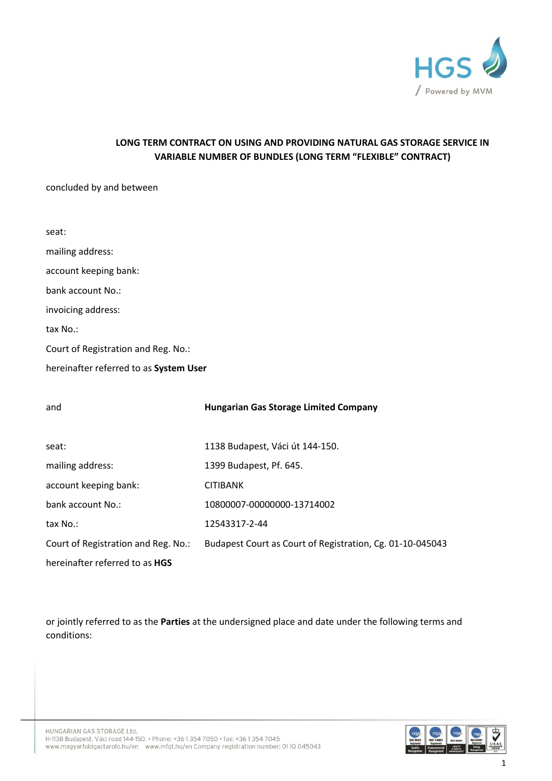

# **LONG TERM CONTRACT ON USING AND PROVIDING NATURAL GAS STORAGE SERVICE IN VARIABLE NUMBER OF BUNDLES (LONG TERM "FLEXIBLE" CONTRACT)**

#### concluded by and between

| seat:                                  |
|----------------------------------------|
| mailing address:                       |
| account keeping bank:                  |
| bank account No.:                      |
| invoicing address:                     |
| tax No.:                               |
| Court of Registration and Reg. No.:    |
| hereinafter referred to as System User |
|                                        |

| and                                   | <b>Hungarian Gas Storage Limited Company</b>              |
|---------------------------------------|-----------------------------------------------------------|
|                                       |                                                           |
| seat:                                 | 1138 Budapest, Váci út 144-150.                           |
| mailing address:                      | 1399 Budapest, Pf. 645.                                   |
| account keeping bank:                 | <b>CITIBANK</b>                                           |
| bank account No.:                     | 10800007-00000000-13714002                                |
| tax No.:                              | 12543317-2-44                                             |
| Court of Registration and Reg. No.:   | Budapest Court as Court of Registration, Cg. 01-10-045043 |
| hereinafter referred to as <b>HGS</b> |                                                           |

or jointly referred to as the **Parties** at the undersigned place and date under the following terms and conditions:

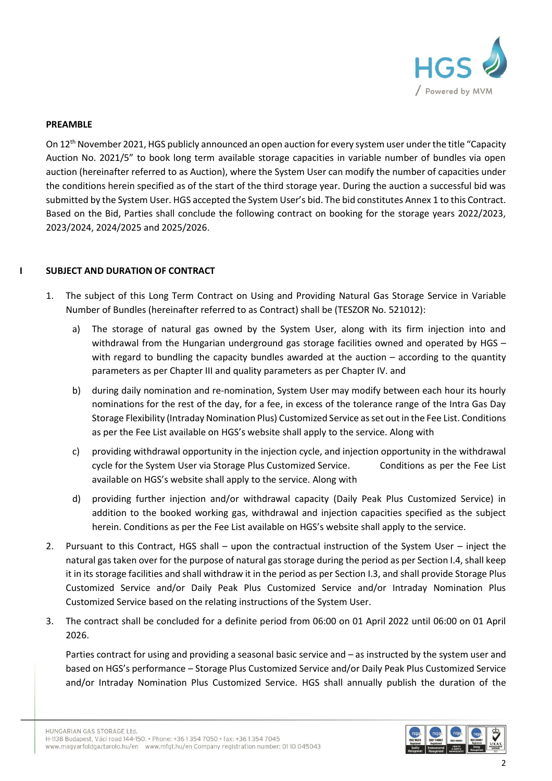

#### **PREAMBLE**

On 12th November 2021, HGS publicly announced an open auction for every system user under the title "Capacity Auction No. 2021/5" to book long term available storage capacities in variable number of bundles via open auction (hereinafter referred to as Auction), where the System User can modify the number of capacities under the conditions herein specified as of the start of the third storage year. During the auction a successful bid was submitted by the System User. HGS accepted the System User's bid. The bid constitutes Annex 1 to this Contract. Based on the Bid, Parties shall conclude the following contract on booking for the storage years 2022/2023, 2023/2024, 2024/2025 and 2025/2026.

### **I SUBJECT AND DURATION OF CONTRACT**

- 1. The subject of this Long Term Contract on Using and Providing Natural Gas Storage Service in Variable Number of Bundles (hereinafter referred to as Contract) shall be (TESZOR No. 521012):
	- a) The storage of natural gas owned by the System User, along with its firm injection into and withdrawal from the Hungarian underground gas storage facilities owned and operated by HGS – with regard to bundling the capacity bundles awarded at the auction – according to the quantity parameters as per Chapter III and quality parameters as per Chapter IV. and
	- b) during daily nomination and re-nomination, System User may modify between each hour its hourly nominations for the rest of the day, for a fee, in excess of the tolerance range of the Intra Gas Day Storage Flexibility (Intraday Nomination Plus) Customized Service as set out in the Fee List. Conditions as per the Fee List available on HGS's website shall apply to the service. Along with
	- c) providing withdrawal opportunity in the injection cycle, and injection opportunity in the withdrawal cycle for the System User via Storage Plus Customized Service. Conditions as per the Fee List available on HGS's website shall apply to the service. Along with
	- d) providing further injection and/or withdrawal capacity (Daily Peak Plus Customized Service) in addition to the booked working gas, withdrawal and injection capacities specified as the subject herein. Conditions as per the Fee List available on HGS's website shall apply to the service.
- 2. Pursuant to this Contract, HGS shall upon the contractual instruction of the System User inject the natural gas taken over for the purpose of natural gas storage during the period as per Section I.4, shall keep it in its storage facilities and shall withdraw it in the period as per Section I.3, and shall provide Storage Plus Customized Service and/or Daily Peak Plus Customized Service and/or Intraday Nomination Plus Customized Service based on the relating instructions of the System User.
- 3. The contract shall be concluded for a definite period from 06:00 on 01 April 2022 until 06:00 on 01 April 2026.

Parties contract for using and providing a seasonal basic service and – as instructed by the system user and based on HGS's performance – Storage Plus Customized Service and/or Daily Peak Plus Customized Service and/or Intraday Nomination Plus Customized Service. HGS shall annually publish the duration of the

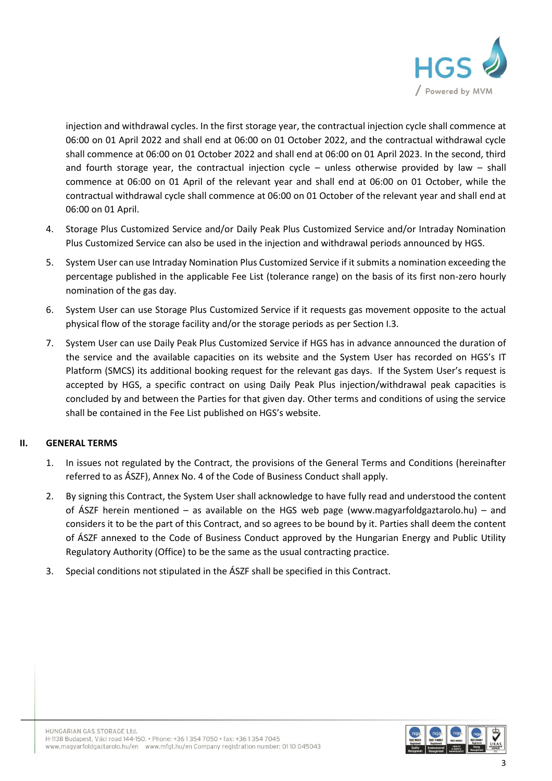

injection and withdrawal cycles. In the first storage year, the contractual injection cycle shall commence at 06:00 on 01 April 2022 and shall end at 06:00 on 01 October 2022, and the contractual withdrawal cycle shall commence at 06:00 on 01 October 2022 and shall end at 06:00 on 01 April 2023. In the second, third and fourth storage year, the contractual injection cycle – unless otherwise provided by law – shall commence at 06:00 on 01 April of the relevant year and shall end at 06:00 on 01 October, while the contractual withdrawal cycle shall commence at 06:00 on 01 October of the relevant year and shall end at 06:00 on 01 April.

- 4. Storage Plus Customized Service and/or Daily Peak Plus Customized Service and/or Intraday Nomination Plus Customized Service can also be used in the injection and withdrawal periods announced by HGS.
- 5. System User can use Intraday Nomination Plus Customized Service if it submits a nomination exceeding the percentage published in the applicable Fee List (tolerance range) on the basis of its first non-zero hourly nomination of the gas day.
- 6. System User can use Storage Plus Customized Service if it requests gas movement opposite to the actual physical flow of the storage facility and/or the storage periods as per Section I.3.
- 7. System User can use Daily Peak Plus Customized Service if HGS has in advance announced the duration of the service and the available capacities on its website and the System User has recorded on HGS's IT Platform (SMCS) its additional booking request for the relevant gas days. If the System User's request is accepted by HGS, a specific contract on using Daily Peak Plus injection/withdrawal peak capacities is concluded by and between the Parties for that given day. Other terms and conditions of using the service shall be contained in the Fee List published on HGS's website.

## **II. GENERAL TERMS**

- 1. In issues not regulated by the Contract, the provisions of the General Terms and Conditions (hereinafter referred to as ÁSZF), Annex No. 4 of the Code of Business Conduct shall apply.
- 2. By signing this Contract, the System User shall acknowledge to have fully read and understood the content of ÁSZF herein mentioned – as available on the HGS web page [\(www.magyarfoldgaztarolo.hu\)](http://www.eon-foldgaz-storage.com/) – and considers it to be the part of this Contract, and so agrees to be bound by it. Parties shall deem the content of ÁSZF annexed to the Code of Business Conduct approved by the Hungarian Energy and Public Utility Regulatory Authority (Office) to be the same as the usual contracting practice.
- 3. Special conditions not stipulated in the ÁSZF shall be specified in this Contract.

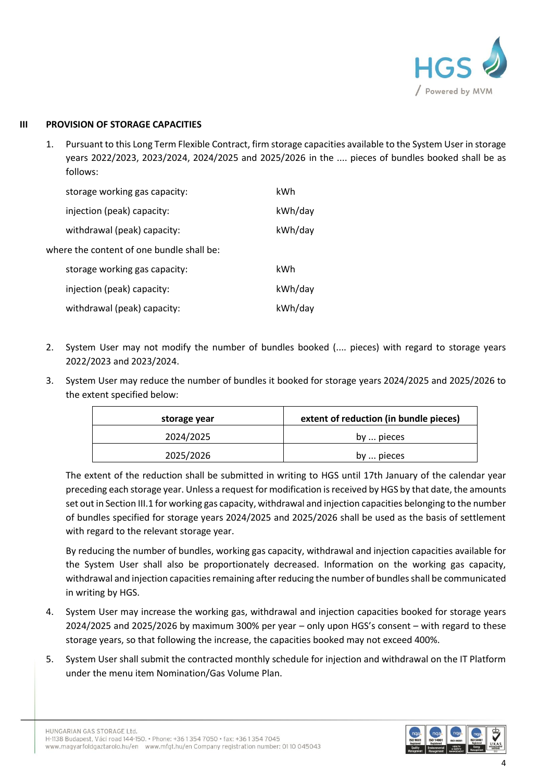

## **III PROVISION OF STORAGE CAPACITIES**

1. Pursuant to this Long Term Flexible Contract, firm storage capacities available to the System User in storage years 2022/2023, 2023/2024, 2024/2025 and 2025/2026 in the .... pieces of bundles booked shall be as follows:

|                                           | storage working gas capacity: | kWh     |  |
|-------------------------------------------|-------------------------------|---------|--|
|                                           | injection (peak) capacity:    | kWh/day |  |
|                                           | withdrawal (peak) capacity:   | kWh/day |  |
| where the content of one bundle shall be: |                               |         |  |
|                                           | storage working gas capacity: | kWh     |  |
|                                           | injection (peak) capacity:    | kWh/day |  |
|                                           | withdrawal (peak) capacity:   | kWh/day |  |

- 2. System User may not modify the number of bundles booked (.... pieces) with regard to storage years 2022/2023 and 2023/2024.
- 3. System User may reduce the number of bundles it booked for storage years 2024/2025 and 2025/2026 to the extent specified below:

| storage year | extent of reduction (in bundle pieces) |
|--------------|----------------------------------------|
| 2024/2025    | by  pieces                             |
| 2025/2026    | by  pieces                             |

The extent of the reduction shall be submitted in writing to HGS until 17th January of the calendar year preceding each storage year. Unless a request for modification is received by HGS by that date, the amounts set out in Section III.1 for working gas capacity, withdrawal and injection capacities belonging to the number of bundles specified for storage years 2024/2025 and 2025/2026 shall be used as the basis of settlement with regard to the relevant storage year.

By reducing the number of bundles, working gas capacity, withdrawal and injection capacities available for the System User shall also be proportionately decreased. Information on the working gas capacity, withdrawal and injection capacities remaining after reducing the number of bundles shall be communicated in writing by HGS.

- 4. System User may increase the working gas, withdrawal and injection capacities booked for storage years 2024/2025 and 2025/2026 by maximum 300% per year – only upon HGS's consent – with regard to these storage years, so that following the increase, the capacities booked may not exceed 400%.
- 5. System User shall submit the contracted monthly schedule for injection and withdrawal on the IT Platform under the menu item Nomination/Gas Volume Plan.

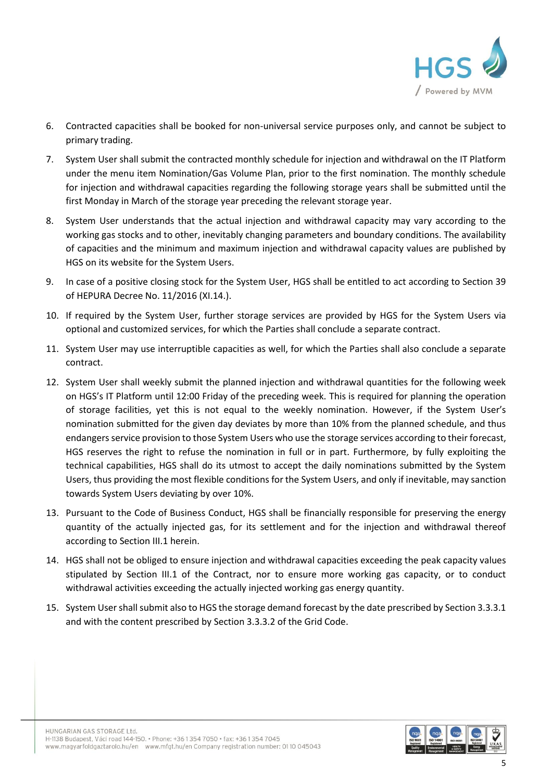

- 6. Contracted capacities shall be booked for non-universal service purposes only, and cannot be subject to primary trading.
- 7. System User shall submit the contracted monthly schedule for injection and withdrawal on the IT Platform under the menu item Nomination/Gas Volume Plan, prior to the first nomination. The monthly schedule for injection and withdrawal capacities regarding the following storage years shall be submitted until the first Monday in March of the storage year preceding the relevant storage year.
- 8. System User understands that the actual injection and withdrawal capacity may vary according to the working gas stocks and to other, inevitably changing parameters and boundary conditions. The availability of capacities and the minimum and maximum injection and withdrawal capacity values are published by HGS on its website for the System Users.
- 9. In case of a positive closing stock for the System User, HGS shall be entitled to act according to Section 39 of HEPURA Decree No. 11/2016 (XI.14.).
- 10. If required by the System User, further storage services are provided by HGS for the System Users via optional and customized services, for which the Parties shall conclude a separate contract.
- 11. System User may use interruptible capacities as well, for which the Parties shall also conclude a separate contract.
- 12. System User shall weekly submit the planned injection and withdrawal quantities for the following week on HGS's IT Platform until 12:00 Friday of the preceding week. This is required for planning the operation of storage facilities, yet this is not equal to the weekly nomination. However, if the System User's nomination submitted for the given day deviates by more than 10% from the planned schedule, and thus endangers service provision to those System Users who use the storage services according to their forecast, HGS reserves the right to refuse the nomination in full or in part. Furthermore, by fully exploiting the technical capabilities, HGS shall do its utmost to accept the daily nominations submitted by the System Users, thus providing the most flexible conditions for the System Users, and only if inevitable, may sanction towards System Users deviating by over 10%.
- 13. Pursuant to the Code of Business Conduct, HGS shall be financially responsible for preserving the energy quantity of the actually injected gas, for its settlement and for the injection and withdrawal thereof according to Section III.1 herein.
- 14. HGS shall not be obliged to ensure injection and withdrawal capacities exceeding the peak capacity values stipulated by Section III.1 of the Contract, nor to ensure more working gas capacity, or to conduct withdrawal activities exceeding the actually injected working gas energy quantity.
- 15. System User shall submit also to HGS the storage demand forecast by the date prescribed by Section 3.3.3.1 and with the content prescribed by Section 3.3.3.2 of the Grid Code.

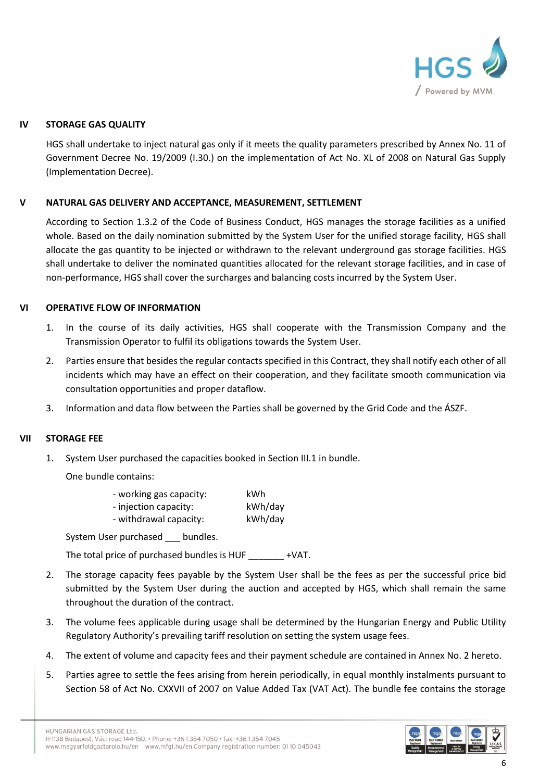

## **IV STORAGE GAS QUALITY**

HGS shall undertake to inject natural gas only if it meets the quality parameters prescribed by Annex No. 11 of Government Decree No. 19/2009 (I.30.) on the implementation of Act No. XL of 2008 on Natural Gas Supply (Implementation Decree).

### **V NATURAL GAS DELIVERY AND ACCEPTANCE, MEASUREMENT, SETTLEMENT**

According to Section 1.3.2 of the Code of Business Conduct, HGS manages the storage facilities as a unified whole. Based on the daily nomination submitted by the System User for the unified storage facility, HGS shall allocate the gas quantity to be injected or withdrawn to the relevant underground gas storage facilities. HGS shall undertake to deliver the nominated quantities allocated for the relevant storage facilities, and in case of non-performance, HGS shall cover the surcharges and balancing costs incurred by the System User.

#### **VI OPERATIVE FLOW OF INFORMATION**

- 1. In the course of its daily activities, HGS shall cooperate with the Transmission Company and the Transmission Operator to fulfil its obligations towards the System User.
- 2. Parties ensure that besides the regular contacts specified in this Contract, they shall notify each other of all incidents which may have an effect on their cooperation, and they facilitate smooth communication via consultation opportunities and proper dataflow.
- 3. Information and data flow between the Parties shall be governed by the Grid Code and the ÁSZF.

#### **VII STORAGE FEE**

1. System User purchased the capacities booked in Section III.1 in bundle.

One bundle contains:

| - working gas capacity: | kWh     |
|-------------------------|---------|
| - injection capacity:   | kWh/day |
| - withdrawal capacity:  | kWh/day |

System User purchased \_\_\_ bundles.

The total price of purchased bundles is HUF \_\_\_\_\_\_\_ +VAT.

- 2. The storage capacity fees payable by the System User shall be the fees as per the successful price bid submitted by the System User during the auction and accepted by HGS, which shall remain the same throughout the duration of the contract.
- 3. The volume fees applicable during usage shall be determined by the Hungarian Energy and Public Utility Regulatory Authority's prevailing tariff resolution on setting the system usage fees.
- 4. The extent of volume and capacity fees and their payment schedule are contained in Annex No. 2 hereto.
- 5. Parties agree to settle the fees arising from herein periodically, in equal monthly instalments pursuant to Section 58 of Act No. CXXVII of 2007 on Value Added Tax (VAT Act). The bundle fee contains the storage

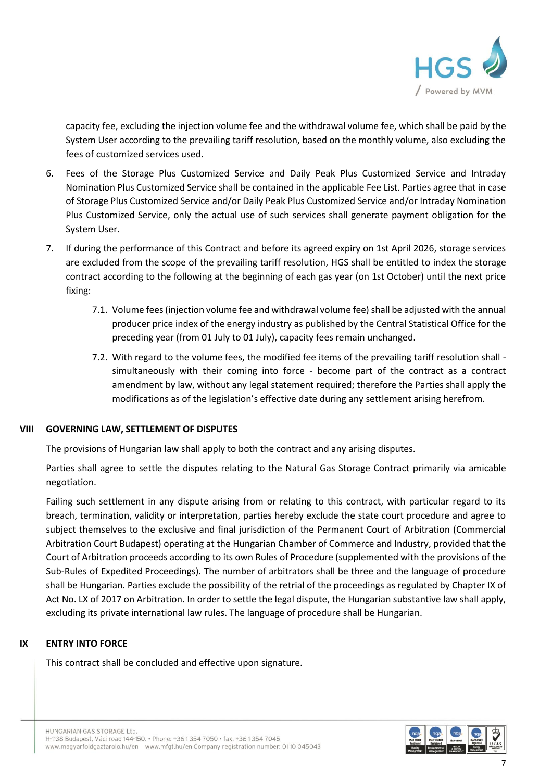

capacity fee, excluding the injection volume fee and the withdrawal volume fee, which shall be paid by the System User according to the prevailing tariff resolution, based on the monthly volume, also excluding the fees of customized services used.

- 6. Fees of the Storage Plus Customized Service and Daily Peak Plus Customized Service and Intraday Nomination Plus Customized Service shall be contained in the applicable Fee List. Parties agree that in case of Storage Plus Customized Service and/or Daily Peak Plus Customized Service and/or Intraday Nomination Plus Customized Service, only the actual use of such services shall generate payment obligation for the System User.
- 7. If during the performance of this Contract and before its agreed expiry on 1st April 2026, storage services are excluded from the scope of the prevailing tariff resolution, HGS shall be entitled to index the storage contract according to the following at the beginning of each gas year (on 1st October) until the next price fixing:
	- 7.1. Volume fees (injection volume fee and withdrawal volume fee) shall be adjusted with the annual producer price index of the energy industry as published by the Central Statistical Office for the preceding year (from 01 July to 01 July), capacity fees remain unchanged.
	- 7.2. With regard to the volume fees, the modified fee items of the prevailing tariff resolution shall simultaneously with their coming into force - become part of the contract as a contract amendment by law, without any legal statement required; therefore the Parties shall apply the modifications as of the legislation's effective date during any settlement arising herefrom.

## **VIII GOVERNING LAW, SETTLEMENT OF DISPUTES**

The provisions of Hungarian law shall apply to both the contract and any arising disputes.

Parties shall agree to settle the disputes relating to the Natural Gas Storage Contract primarily via amicable negotiation.

Failing such settlement in any dispute arising from or relating to this contract, with particular regard to its breach, termination, validity or interpretation, parties hereby exclude the state court procedure and agree to subject themselves to the exclusive and final jurisdiction of the Permanent Court of Arbitration (Commercial Arbitration Court Budapest) operating at the Hungarian Chamber of Commerce and Industry, provided that the Court of Arbitration proceeds according to its own Rules of Procedure (supplemented with the provisions of the Sub-Rules of Expedited Proceedings). The number of arbitrators shall be three and the language of procedure shall be Hungarian. Parties exclude the possibility of the retrial of the proceedings as regulated by Chapter IX of Act No. LX of 2017 on Arbitration. In order to settle the legal dispute, the Hungarian substantive law shall apply, excluding its private international law rules. The language of procedure shall be Hungarian.

## **IX ENTRY INTO FORCE**

This contract shall be concluded and effective upon signature.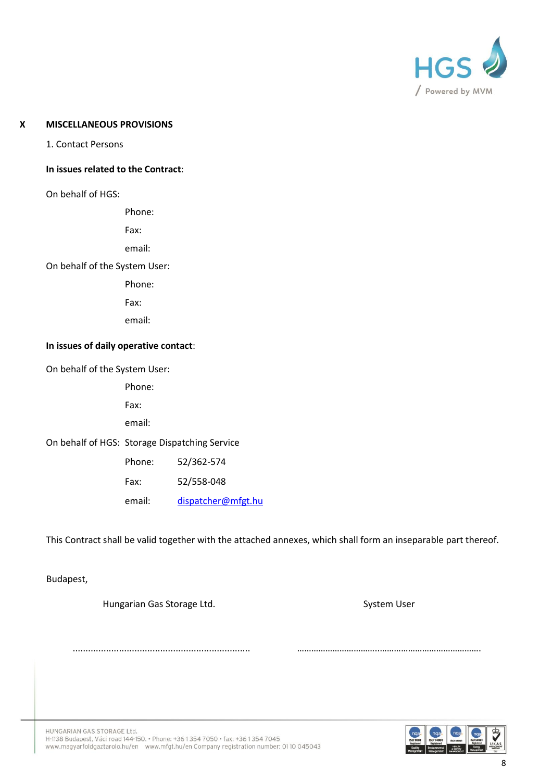

### **X MISCELLANEOUS PROVISIONS**

1. Contact Persons

#### **In issues related to the Contract**:

On behalf of HGS:

Phone:

Fax:

email:

On behalf of the System User:

Phone:

Fax:

email:

#### **In issues of daily operative contact**:

On behalf of the System User:

Phone:

Fax:

email:

On behalf of HGS: Storage Dispatching Service

| Phone: | 52/362-574         |
|--------|--------------------|
| Fax:   | 52/558-048         |
| email: | dispatcher@mfgt.hu |

This Contract shall be valid together with the attached annexes, which shall form an inseparable part thereof.

Budapest,

Hungarian Gas Storage Ltd. System User

..................................................................... ……………………………..…………………………………….